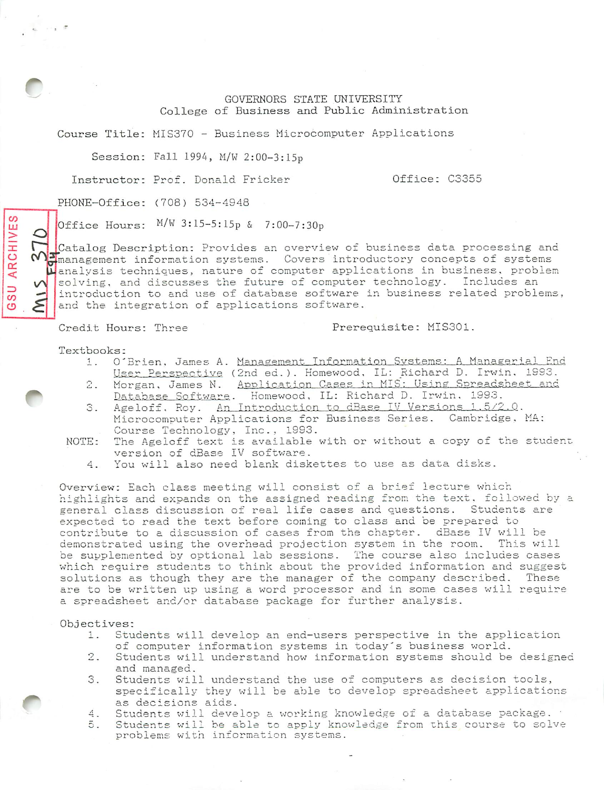### GOVERNORS STATE UNIVERSITY College of Business and Public Administration

Course Title: MIS370 - Business Microcomputer Applications

Session: Fall 1994, M/W 2:00-3:15p

Instructor: Prof. Donald Fricker (3355)

PHONE-Office: (708) 534-4948

Office Hours:  $M/W$  3:15-5:15p & 7:00-7:30p

Catalog Description: Provides an overview of business data processing and management information systems. Covers introductory concepts of systems **C**] management information systems. Covers introductory concepts of systems  $\mu$  analysis techniques, nature of computer applications in business, problem solving, and discusses the future of computer technology. Includes an introduction to and use of database software in business related problems, and the integration of applications software.

Credit Hours: Three Prerequisite: MIS301.

Textbooks:

*CO LU > X O cm <*

*Oj*

*\/\*

*CO <3>*

- 1. O'Brien, James A. Management Information Systems: A Managerial Enc User. Perspective (2nd ed.). Homewood, IL: Richard D. Irwin. 1993.
- 2. Morgan, James N. Application Cases in MIS: Using Spreadsheet and <u>Database Software</u>. Homewood, IL: Richard D. Irwin, 1993.
- 3. Ageloff, Roy. An Introduction to dBase IV Versions 1.5/2.0. Microcomputer Applications for Business Series. Cambridge, MA: Course Technology, Inc., 1993.
- NOTE: The Ageloff text is available with or without a copy of the student version of dBase IV software.
	- You will also need blank diskettes to use as data disks.  $4.$

Overview: Each class meeting will consist of a brief lecture which highlights and expands on the assigned reading from the text, followed by general class discussion of real life cases and questions. Students are expected to read the text before coming to class and be prepared to contribute to a discussion of cases from the chapter. dBase IV will be demonstrated using the overhead projection system in the room. This will be supplemented by optional lab sessions. The course also includes cases which require students to think about the provided information and suggest solutions as though they are the manager of the company described. These are to be written up using a word processor and in some cases will require a spreadsheet and/or database package for further analysis.

#### Objectives:

- 1. Students will develop an end-users perspective in the application of computer information systems in today's business world.
- 2. Students will understand how information systems should be desi gned and managed.
- 3. Students will understand the use of computers as decision tools specifically they will be able to develop spreadsheet applications as decisions aids.
- 4. Students will develop a working knowledge of a database pa ckage
- 5. Students will be able to apply knowledge from this course to solve problems with information systems.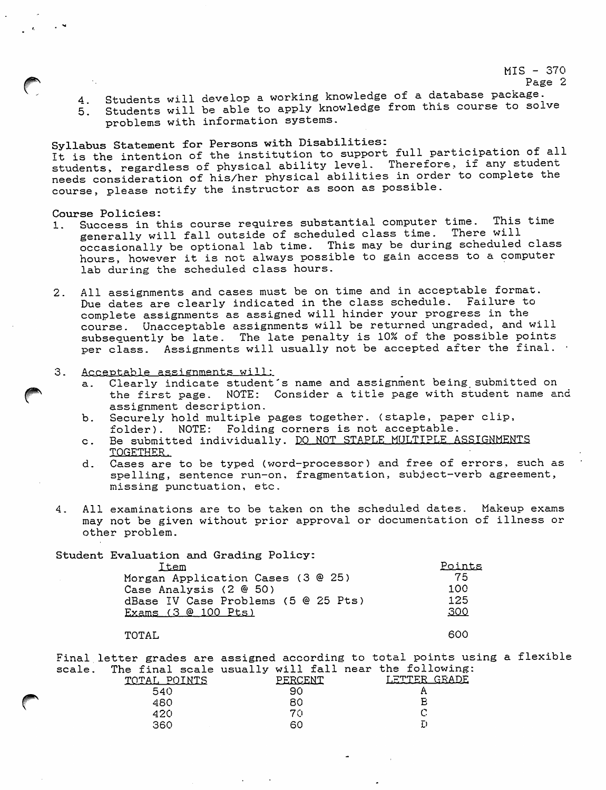MIS - 370

Page 2

**A** Students will develop a working knowledge of a database package. 5. Students will be able to apply knowledge from this course to solve problems with information systems.

Syllabus Statement for Persons with Disabilities: It is the intention of the institution to support full participation of all students, regardless of physical ability level. Therefore, if any student needs consideration of his/her physical abilities in order to complete the course, please notify the instructor as soon as possible.

Course Policies:

^

- 1. Success in this course requires substantial computer time. This time<br>
success in this course requires substantial computer time. There will generally will fall outside of scheduled class time. occasionally be optional lab time. This may be during scheduled class hours, however it is not always possible to gain access to a computer lab during the scheduled class hours.
- 2. All assignments and cases must be on time and in acceptable format. Due dates are clearly indicated in the class schedule. Failure to complete assignments as assigned will hinder your progress in the course. Unacceptable assignments will be returned ungraded, and will subsequently be late. The late penalty is 10% of the possible points per class. Assignments will usually not be accepted after the final.
- 3. Acceptable assignments will:
	- a. Clearly indicate student's name and assignment being submitted on the first page. NOTE: Consider a title page with student name and assignment description.
	- b. Securely hold multiple pages together, (staple, paper clip, folder). NOTE: Folding corners is not acceptable.
	- c. Be submitted individually. DO NOT STAPLE MULTIPLE ASSIGNMENTS TOGETHER.
	- d. Cases are to be typed (word-processor) and free of errors, such as spelling, sentence run-on, fragmentation, subject-verb agreement, missing punctuation, etc.
- 4. All examinations are to be taken on the scheduled dates. Makeup exams may not be given without prior approval or documentation of illness or other problem.

Student Evaluation and Grading Policy:

| Item                                | Points |
|-------------------------------------|--------|
| Morgan Application Cases (3 @ 25)   | 75     |
| Case Analysis (2 @ 50)              | 100    |
| dBase IV Case Problems (5 @ 25 Pts) | 125    |
| Exams (3 @ 100 Pts)                 | 300    |
|                                     |        |

### TOTAL 600

Final letter grades are assigned according to total points using a flexible scale. The final scale usually will fall near the following:<br>TOTAL POINTS PERCENT LETTER GRADE TOTAL POINTS PERCENT LETTER <br>540 90 A 540  $\epsilon$ 480 E 420 70 C

360 60 D